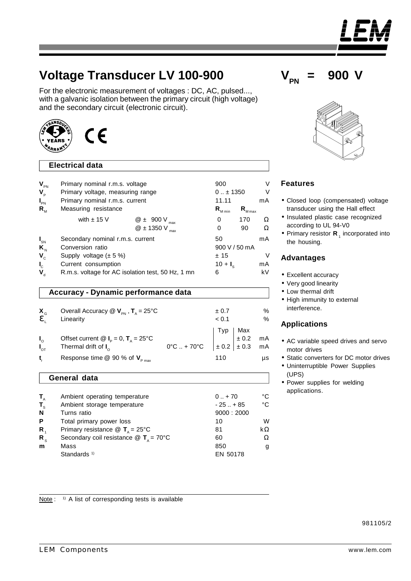Note :  $1)$  A list of corresponding tests is available

# **Voltage Transducer LV 100-900**

For the electronic measurement of voltages : DC, AC, pulsed..., with a galvanic isolation between the primary circuit (high voltage) and the secondary circuit (electronic circuit).

# **Electrical data**

 $\epsilon$ 

| $\mathbf{V}_{\texttt{\tiny PN}}$<br>$V_{\rm p}$<br>$I_{\text{PN}}$<br>$R_{_{\rm M}}$ | Primary nominal r.m.s. voltage<br>Primary voltage, measuring range<br>Primary nominal r.m.s. current<br>Measuring resistance |                                               | 900<br>$0 \pm 1350$<br>11.11<br>$\mathsf{R}_{_{\mathsf{M} \mathsf{max}}}$<br>$\mathsf{R}_{_{\mathsf{M}\,\mathsf{min}}}$ |           | V<br>V<br>mA |
|--------------------------------------------------------------------------------------|------------------------------------------------------------------------------------------------------------------------------|-----------------------------------------------|-------------------------------------------------------------------------------------------------------------------------|-----------|--------------|
|                                                                                      | with $\pm$ 15 V                                                                                                              | $@$ $\pm$ 900 V<br>max<br>$@$ ± 1350 V<br>max | 0<br>0                                                                                                                  | 170<br>90 | Ω<br>Ω       |
| $I_{\rm SN}$<br>$K_{N}$<br>$V_c$                                                     | Secondary nominal r.m.s. current<br>Conversion ratio<br>Supply voltage $(\pm 5\%)$                                           |                                               | 50<br>900 V / 50 mA<br>±15                                                                                              |           | mA           |
| $\mathbf{l}_{\rm c}$<br>$\mathbf{V}_{\rm d}$                                         | Current consumption<br>R.m.s. voltage for AC isolation test, 50 Hz, 1 mn                                                     |                                               | $10 + I_s$<br>6                                                                                                         |           | mA<br>kV     |

# **Accuracy - Dynamic performance data**

| $X_{\rm G}$                | Overall Accuracy $\mathbb{Q}$ $\mathsf{V}_{\text{PN}}$ , $\mathsf{T}_{\text{A}}$ = 25°C<br>Linearity                                    |                                                                                                              | ± 0.7<br>< 0.1 | $\%$<br>$\%$ |
|----------------------------|-----------------------------------------------------------------------------------------------------------------------------------------|--------------------------------------------------------------------------------------------------------------|----------------|--------------|
| $I_{o}$<br>$I_{\text{OT}}$ | Offset current $\mathbf{Q}$ $\mathbf{I}_{\text{p}} = 0$ , $\mathbf{T}_{\text{a}} = 25^{\circ}\text{C}$<br>Thermal drift of $I_{\alpha}$ | $0^{\circ}$ C  + 70°C $\begin{bmatrix} \text{Typ} \\ \pm 0.2 \\ \pm 0.3 \\ \text{mA} \end{bmatrix}$ + 0.3 mA |                |              |
| t.                         | Response time @ 90 % of $V_{p_{max}}$                                                                                                   |                                                                                                              | 110            | $\mu s$      |

#### **General data**

| $T_{\rm A}$      | Ambient operating temperature                               | $0.1 + 70$ | °C |
|------------------|-------------------------------------------------------------|------------|----|
| $T_{\rm s}$      | Ambient storage temperature                                 | $-25$ + 85 | °C |
| N                | Turns ratio                                                 | 9000:2000  |    |
| P                | Total primary power loss                                    | 10         | W  |
| $\mathbf{R}_{4}$ | Primary resistance $\circledR$ <b>T</b> <sub>n</sub> = 25°C | 81         | kΩ |
| $R_{\circ}$      | Secondary coil resistance $\circledR$ T <sub>A</sub> = 70°C | 60         | Ω  |
| m                | Mass                                                        | 850        | g  |
|                  | Standards <sup>1)</sup>                                     | EN 50178   |    |



# **Features**

- •Closed loop (compensated) voltage transducer using the Hall effect
- •Insulated plastic case recognized according to UL 94-V0
- Primary resistor **R**<sub>1</sub> incorporated into the housing.

#### **Advantages**

- •Excellent accuracy
- •Very good linearity
- •Low thermal drift
- High immunity to external interference.

### **Applications**

- •AC variable speed drives and servo motor drives
- •Static converters for DC motor drives
- •Uninterruptible Power Supplies (UPS)
- •Power supplies for welding applications.